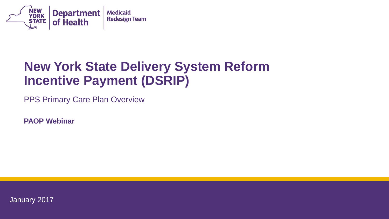

## **New York State Delivery System Reform Incentive Payment (DSRIP)**

PPS Primary Care Plan Overview

**PAOP Webinar**

January 2017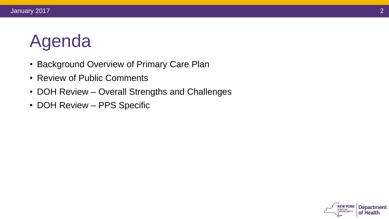# Agenda

- Background Overview of Primary Care Plan
- Review of Public Comments
- DOH Review Overall Strengths and Challenges
- DOH Review PPS Specific

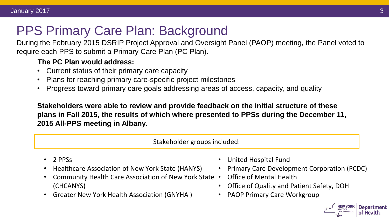# PPS Primary Care Plan: Background

During the February 2015 DSRIP Project Approval and Oversight Panel (PAOP) meeting, the Panel voted to require each PPS to submit a Primary Care Plan (PC Plan).

#### **The PC Plan would address:**

- Current status of their primary care capacity
- Plans for reaching primary care-specific project milestones
- Progress toward primary care goals addressing areas of access, capacity, and quality

**Stakeholders were able to review and provide feedback on the initial structure of these plans in Fall 2015, the results of which where presented to PPSs during the December 11, 2015 All-PPS meeting in Albany.**

Stakeholder groups included:

- 2 PPSs
- Healthcare Association of New York State (HANYS)
- Community Health Care Association of New York State (CHCANYS)
- Greater New York Health Association (GNYHA )
- United Hospital Fund
- Primary Care Development Corporation (PCDC)
- Office of Mental Health
- Office of Quality and Patient Safety, DOH
- PAOP Primary Care Workgroup

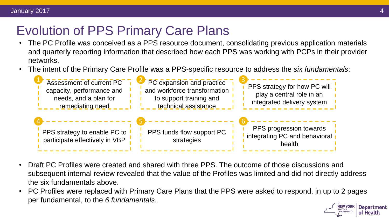# Evolution of PPS Primary Care Plans

- The PC Profile was conceived as a PPS resource document, consolidating previous application materials and quarterly reporting information that described how each PPS was working with PCPs in their provider networks.
- The intent of the Primary Care Profile was a PPS-specific resource to address the *six fundamentals*:



- Draft PC Profiles were created and shared with three PPS. The outcome of those discussions and subsequent internal review revealed that the value of the Profiles was limited and did not directly address the six fundamentals above.
- PC Profiles were replaced with Primary Care Plans that the PPS were asked to respond, in up to 2 pages per fundamental, to the *6 fundamentals.***Department**

**STATE OF** 

of Health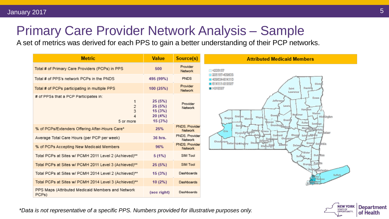# Primary Care Provider Network Analysis – Sample

A set of metrics was derived for each PPS to gain a better understanding of their PCP networks.



**NEW YORK Department STATE OF** OPPORTUNITY. of Health

*\*Data is not representative of a specific PPS. Numbers provided for illustrative purposes only.*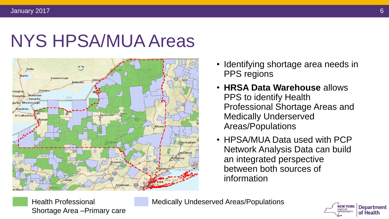# NYS HPSA/MUA Areas



- Identifying shortage area needs in PPS regions
- **HRSA Data Warehouse** allows PPS to identify Health Professional Shortage Areas and Medically Underserved Areas/Populations
- HPSA/MUA Data used with PCP Network Analysis Data can build an integrated perspective between both sources of information

Health Professional Shortage Area –Primary care

Medically Undeserved Areas/Populations

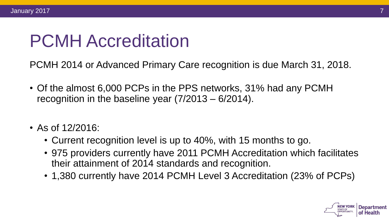# PCMH Accreditation

PCMH 2014 or Advanced Primary Care recognition is due March 31, 2018.

- Of the almost 6,000 PCPs in the PPS networks, 31% had any PCMH recognition in the baseline year (7/2013 – 6/2014).
- As of 12/2016:
	- Current recognition level is up to 40%, with 15 months to go.
	- 975 providers currently have 2011 PCMH Accreditation which facilitates their attainment of 2014 standards and recognition.
	- 1,380 currently have 2014 PCMH Level 3 Accreditation (23% of PCPs)



7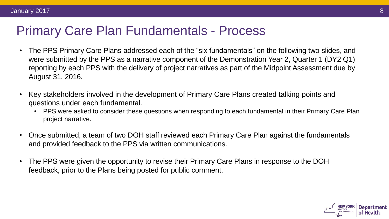#### Primary Care Plan Fundamentals - Process

- The PPS Primary Care Plans addressed each of the "six fundamentals" on the following two slides, and were submitted by the PPS as a narrative component of the Demonstration Year 2, Quarter 1 (DY2 Q1) reporting by each PPS with the delivery of project narratives as part of the Midpoint Assessment due by August 31, 2016.
- Key stakeholders involved in the development of Primary Care Plans created talking points and questions under each fundamental.
	- PPS were asked to consider these questions when responding to each fundamental in their Primary Care Plan project narrative.
- Once submitted, a team of two DOH staff reviewed each Primary Care Plan against the fundamentals and provided feedback to the PPS via written communications.
- The PPS were given the opportunity to revise their Primary Care Plans in response to the DOH feedback, prior to the Plans being posted for public comment.

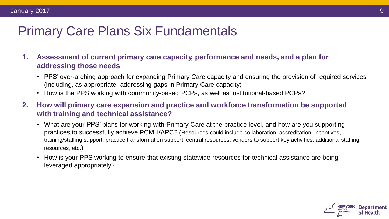### Primary Care Plans Six Fundamentals

- **1. Assessment of current primary care capacity, performance and needs, and a plan for addressing those needs**
	- PPS' over-arching approach for expanding Primary Care capacity and ensuring the provision of required services (including, as appropriate, addressing gaps in Primary Care capacity)
	- How is the PPS working with community-based PCPs, as well as institutional-based PCPs?
- **2. How will primary care expansion and practice and workforce transformation be supported with training and technical assistance?**
	- What are your PPS' plans for working with Primary Care at the practice level, and how are you supporting practices to successfully achieve PCMH/APC? (Resources could include collaboration, accreditation, incentives, training/staffing support, practice transformation support, central resources, vendors to support key activities, additional staffing resources, etc.)
	- How is your PPS working to ensure that existing statewide resources for technical assistance are being leveraged appropriately?

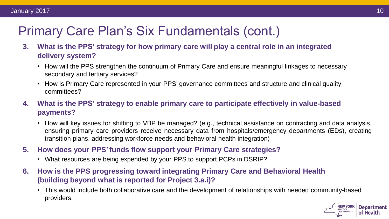# Primary Care Plan's Six Fundamentals (cont.)

- **3. What is the PPS' strategy for how primary care will play a central role in an integrated delivery system?**
	- How will the PPS strengthen the continuum of Primary Care and ensure meaningful linkages to necessary secondary and tertiary services?
	- How is Primary Care represented in your PPS' governance committees and structure and clinical quality committees?
- **4. What is the PPS' strategy to enable primary care to participate effectively in value**‐**based payments?**
	- How will key issues for shifting to VBP be managed? (e.g., technical assistance on contracting and data analysis, ensuring primary care providers receive necessary data from hospitals/emergency departments (EDs), creating transition plans, addressing workforce needs and behavioral health integration)
- **5. How does your PPS'funds flow support your Primary Care strategies?**
	- What resources are being expended by your PPS to support PCPs in DSRIP?
- **6. How is the PPS progressing toward integrating Primary Care and Behavioral Health (building beyond what is reported for Project 3.a.i)?**
	- This would include both collaborative care and the development of relationships with needed community-based providers.



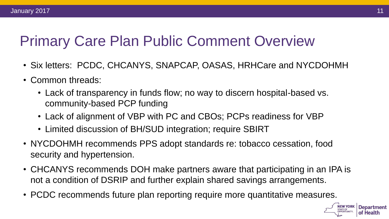#### January 2017

# Primary Care Plan Public Comment Overview

- Six letters: PCDC, CHCANYS, SNAPCAP, OASAS, HRHCare and NYCDOHMH
- Common threads:
	- Lack of transparency in funds flow; no way to discern hospital-based vs. community-based PCP funding
	- Lack of alignment of VBP with PC and CBOs; PCPs readiness for VBP
	- Limited discussion of BH/SUD integration; require SBIRT
- NYCDOHMH recommends PPS adopt standards re: tobacco cessation, food security and hypertension.
- CHCANYS recommends DOH make partners aware that participating in an IPA is not a condition of DSRIP and further explain shared savings arrangements.
- PCDC recommends future plan reporting require more quantitative measures.

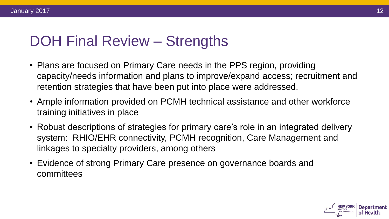# DOH Final Review – Strengths

- Plans are focused on Primary Care needs in the PPS region, providing capacity/needs information and plans to improve/expand access; recruitment and retention strategies that have been put into place were addressed.
- Ample information provided on PCMH technical assistance and other workforce training initiatives in place
- Robust descriptions of strategies for primary care's role in an integrated delivery system: RHIO/EHR connectivity, PCMH recognition, Care Management and linkages to specialty providers, among others
- Evidence of strong Primary Care presence on governance boards and committees

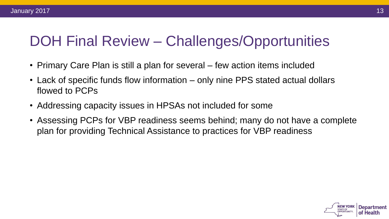# DOH Final Review – Challenges/Opportunities

- Primary Care Plan is still a plan for several few action items included
- Lack of specific funds flow information only nine PPS stated actual dollars flowed to PCPs
- Addressing capacity issues in HPSAs not included for some
- Assessing PCPs for VBP readiness seems behind; many do not have a complete plan for providing Technical Assistance to practices for VBP readiness

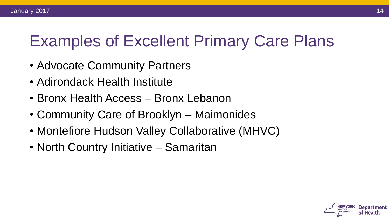#### January 2017

# Examples of Excellent Primary Care Plans

- Advocate Community Partners
- Adirondack Health Institute
- Bronx Health Access Bronx Lebanon
- Community Care of Brooklyn Maimonides
- Montefiore Hudson Valley Collaborative (MHVC)
- North Country Initiative Samaritan

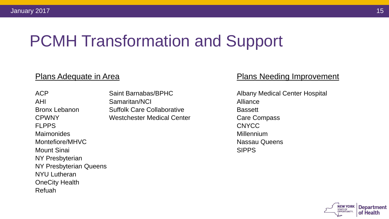# PCMH Transformation and Support

FLPPS CNYCC Maimonides **Millennium** Montefiore/MHVC Nassau Queens Mount Sinai SIPPS NY Presbyterian NY Presbyterian Queens NYU Lutheran OneCity Health Refuah

AHI Samaritan/NCI Alliance Bronx Lebanon Suffolk Care Collaborative **Bassett** CPWNY CPWNY Westchester Medical Center Care Compass

#### Plans Adequate in Area **Plans Needing Improvement**

ACP Saint Barnabas/BPHC Albany Medical Center Hospital

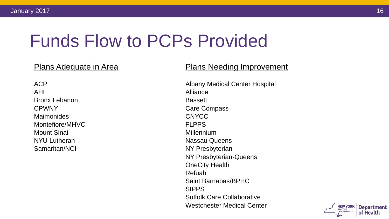# Funds Flow to PCPs Provided

AHI Alliance Bronx Lebanon **Bassett** CPWNY CPWNY Care Compass Maimonides CNYCC Montefiore/MHVC FLPPS Mount Sinai **Mount Sinai** Millennium NYU Lutheran Nassau Queens Samaritan/NCI NY Presbyterian

#### Plans Adequate in Area **Plans Needing Improvement**

ACP Albany Medical Center Hospital NY Presbyterian-Queens OneCity Health Refuah Saint Barnabas/BPHC SIPPS Suffolk Care Collaborative Westchester Medical Center

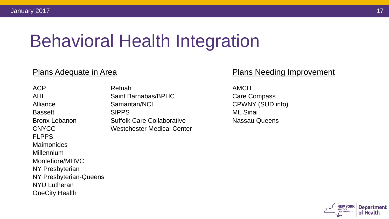# Behavioral Health Integration

FLPPS **Maimonides** Millennium Montefiore/MHVC NY Presbyterian NY Presbyterian-Queens NYU Lutheran OneCity Health

ACP Refuah AMCH AHI Saint Barnabas/BPHC Care Compass Alliance Samaritan/NCI CPWNY (SUD info) Bassett SIPPS Mt. Sinai Bronx Lebanon Suffolk Care Collaborative Nassau Queens CNYCC Westchester Medical Center

#### Plans Adequate in Area **Plans Needing Improvement**

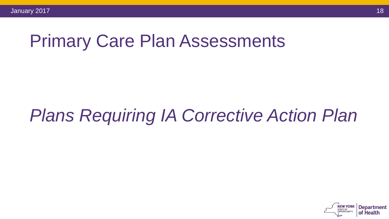# Primary Care Plan Assessments

# *Plans Requiring IA Corrective Action Plan*

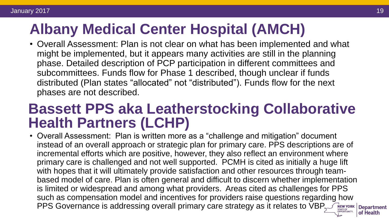# **Albany Medical Center Hospital (AMCH)**

• Overall Assessment: Plan is not clear on what has been implemented and what might be implemented, but it appears many activities are still in the planning phase. Detailed description of PCP participation in different committees and subcommittees. Funds flow for Phase 1 described, though unclear if funds distributed (Plan states "allocated" not "distributed"). Funds flow for the next phases are not described.

# **Bassett PPS aka Leatherstocking Collaborative Health Partners (LCHP)**

• Overall Assessment: Plan is written more as a "challenge and mitigation" document instead of an overall approach or strategic plan for primary care. PPS descriptions are of incremental efforts which are positive, however, they also reflect an environment where primary care is challenged and not well supported. PCMH is cited as initially a huge lift with hopes that it will ultimately provide satisfaction and other resources through teambased model of care. Plan is often general and difficult to discern whether implementation is limited or widespread and among what providers. Areas cited as challenges for PPS such as compensation model and incentives for providers raise questions regarding how PPS Governance is addressing overall primary care strategy as it relates to VBP of Health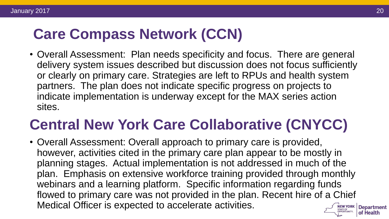# **Care Compass Network (CCN)**

• Overall Assessment: Plan needs specificity and focus. There are general delivery system issues described but discussion does not focus sufficiently or clearly on primary care. Strategies are left to RPUs and health system partners. The plan does not indicate specific progress on projects to indicate implementation is underway except for the MAX series action sites.

# **Central New York Care Collaborative (CNYCC)**

• Overall Assessment: Overall approach to primary care is provided, however, activities cited in the primary care plan appear to be mostly in planning stages. Actual implementation is not addressed in much of the plan. Emphasis on extensive workforce training provided through monthly webinars and a learning platform. Specific information regarding funds flowed to primary care was not provided in the plan. Recent hire of a Chief Medical Officer is expected to accelerate activities.**NEW YORK Department**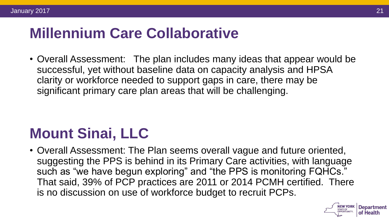# **Millennium Care Collaborative**

• Overall Assessment: The plan includes many ideas that appear would be successful, yet without baseline data on capacity analysis and HPSA clarity or workforce needed to support gaps in care, there may be significant primary care plan areas that will be challenging.

# **Mount Sinai, LLC**

• Overall Assessment: The Plan seems overall vague and future oriented, suggesting the PPS is behind in its Primary Care activities, with language such as "we have begun exploring" and "the PPS is monitoring FQHCs." That said, 39% of PCP practices are 2011 or 2014 PCMH certified. There is no discussion on use of workforce budget to recruit PCPs.



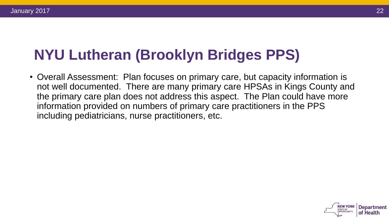# **NYU Lutheran (Brooklyn Bridges PPS)**

• Overall Assessment: Plan focuses on primary care, but capacity information is not well documented. There are many primary care HPSAs in Kings County and the primary care plan does not address this aspect. The Plan could have more information provided on numbers of primary care practitioners in the PPS including pediatricians, nurse practitioners, etc.

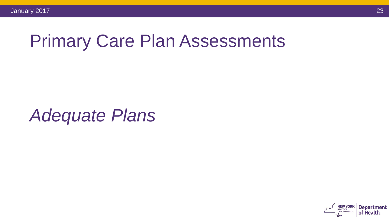# Primary Care Plan Assessments

*Adequate Plans*

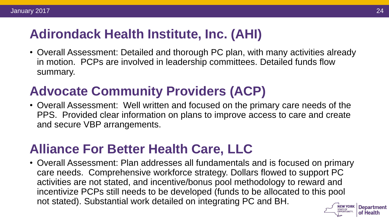# **Adirondack Health Institute, Inc. (AHI)**

• Overall Assessment: Detailed and thorough PC plan, with many activities already in motion. PCPs are involved in leadership committees. Detailed funds flow summary.

# **Advocate Community Providers (ACP)**

• Overall Assessment: Well written and focused on the primary care needs of the PPS. Provided clear information on plans to improve access to care and create and secure VBP arrangements.

### **Alliance For Better Health Care, LLC**

• Overall Assessment: Plan addresses all fundamentals and is focused on primary care needs. Comprehensive workforce strategy. Dollars flowed to support PC activities are not stated, and incentive/bonus pool methodology to reward and incentivize PCPs still needs to be developed (funds to be allocated to this pool not stated). Substantial work detailed on integrating PC and BH.

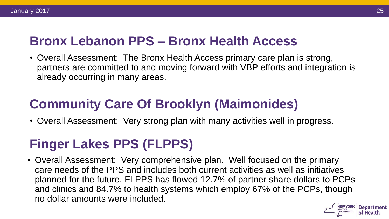### **Bronx Lebanon PPS – Bronx Health Access**

• Overall Assessment: The Bronx Health Access primary care plan is strong, partners are committed to and moving forward with VBP efforts and integration is already occurring in many areas.

# **Community Care Of Brooklyn (Maimonides)**

• Overall Assessment: Very strong plan with many activities well in progress.

# **Finger Lakes PPS (FLPPS)**

• Overall Assessment: Very comprehensive plan. Well focused on the primary care needs of the PPS and includes both current activities as well as initiatives planned for the future. FLPPS has flowed 12.7% of partner share dollars to PCPs and clinics and 84.7% to health systems which employ 67% of the PCPs, though no dollar amounts were included.

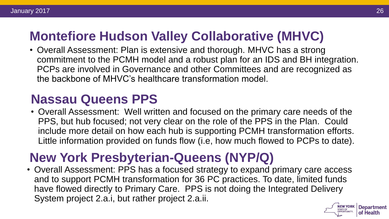# **Montefiore Hudson Valley Collaborative (MHVC)**

• Overall Assessment: Plan is extensive and thorough. MHVC has a strong commitment to the PCMH model and a robust plan for an IDS and BH integration. PCPs are involved in Governance and other Committees and are recognized as the backbone of MHVC's healthcare transformation model.

## **Nassau Queens PPS**

• Overall Assessment: Well written and focused on the primary care needs of the PPS, but hub focused; not very clear on the role of the PPS in the Plan. Could include more detail on how each hub is supporting PCMH transformation efforts. Little information provided on funds flow (i.e, how much flowed to PCPs to date).

# **New York Presbyterian-Queens (NYP/Q)**

• Overall Assessment: PPS has a focused strategy to expand primary care access and to support PCMH transformation for 36 PC practices. To date, limited funds have flowed directly to Primary Care. PPS is not doing the Integrated Delivery System project 2.a.i, but rather project 2.a.ii.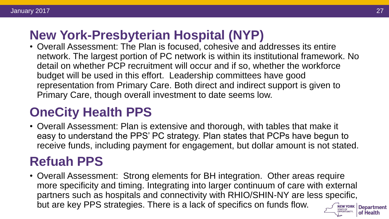## **New York-Presbyterian Hospital (NYP)**

• Overall Assessment: The Plan is focused, cohesive and addresses its entire network. The largest portion of PC network is within its institutional framework. No detail on whether PCP recruitment will occur and if so, whether the workforce budget will be used in this effort. Leadership committees have good representation from Primary Care. Both direct and indirect support is given to Primary Care, though overall investment to date seems low.

# **OneCity Health PPS**

• Overall Assessment: Plan is extensive and thorough, with tables that make it easy to understand the PPS' PC strategy. Plan states that PCPs have begun to receive funds, including payment for engagement, but dollar amount is not stated.

# **Refuah PPS**

• Overall Assessment: Strong elements for BH integration. Other areas require more specificity and timing. Integrating into larger continuum of care with external partners such as hospitals and connectivity with RHIO/SHIN-NY are less specific, but are key PPS strategies. There is a lack of specifics on funds flow.NEW YORK Department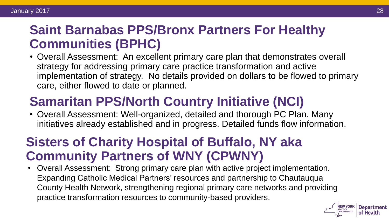## **Saint Barnabas PPS/Bronx Partners For Healthy Communities (BPHC)**

• Overall Assessment: An excellent primary care plan that demonstrates overall strategy for addressing primary care practice transformation and active implementation of strategy. No details provided on dollars to be flowed to primary care, either flowed to date or planned.

# **Samaritan PPS/North Country Initiative (NCI)**

• Overall Assessment: Well-organized, detailed and thorough PC Plan. Many initiatives already established and in progress. Detailed funds flow information.

# **Sisters of Charity Hospital of Buffalo, NY aka Community Partners of WNY (CPWNY)**

• Overall Assessment: Strong primary care plan with active project implementation. Expanding Catholic Medical Partners' resources and partnership to Chautauqua County Health Network, strengthening regional primary care networks and providing practice transformation resources to community-based providers.

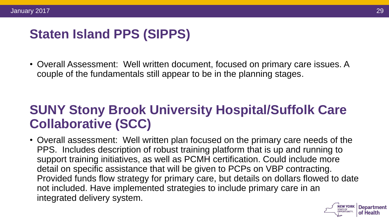# **Staten Island PPS (SIPPS)**

• Overall Assessment: Well written document, focused on primary care issues. A couple of the fundamentals still appear to be in the planning stages.

# **SUNY Stony Brook University Hospital/Suffolk Care Collaborative (SCC)**

• Overall assessment: Well written plan focused on the primary care needs of the PPS. Includes description of robust training platform that is up and running to support training initiatives, as well as PCMH certification. Could include more detail on specific assistance that will be given to PCPs on VBP contracting. Provided funds flow strategy for primary care, but details on dollars flowed to date not included. Have implemented strategies to include primary care in an integrated delivery system.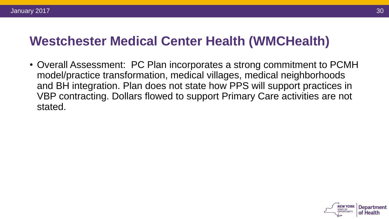## **Westchester Medical Center Health (WMCHealth)**

• Overall Assessment: PC Plan incorporates a strong commitment to PCMH model/practice transformation, medical villages, medical neighborhoods and BH integration. Plan does not state how PPS will support practices in VBP contracting. Dollars flowed to support Primary Care activities are not stated.